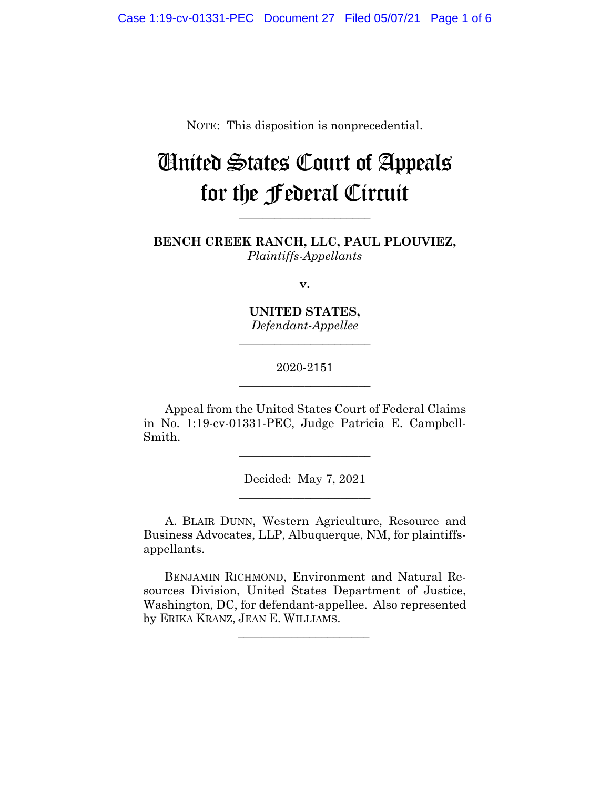NOTE: This disposition is nonprecedential.

# United States Court of Appeals for the Federal Circuit

**BENCH CREEK RANCH, LLC, PAUL PLOUVIEZ,** *Plaintiffs-Appellants*

**\_\_\_\_\_\_\_\_\_\_\_\_\_\_\_\_\_\_\_\_\_\_** 

**v.**

**UNITED STATES,** *Defendant-Appellee*

**\_\_\_\_\_\_\_\_\_\_\_\_\_\_\_\_\_\_\_\_\_\_** 

## 2020-2151 **\_\_\_\_\_\_\_\_\_\_\_\_\_\_\_\_\_\_\_\_\_\_**

Appeal from the United States Court of Federal Claims in No. 1:19-cv-01331-PEC, Judge Patricia E. Campbell-Smith.

 $\overline{\phantom{a}}$  , where  $\overline{\phantom{a}}$  , where  $\overline{\phantom{a}}$  , where  $\overline{\phantom{a}}$ 

Decided: May 7, 2021  $\overline{\phantom{a}}$  , where  $\overline{\phantom{a}}$  , where  $\overline{\phantom{a}}$  , where  $\overline{\phantom{a}}$ 

A. BLAIR DUNN, Western Agriculture, Resource and Business Advocates, LLP, Albuquerque, NM, for plaintiffsappellants.

BENJAMIN RICHMOND, Environment and Natural Resources Division, United States Department of Justice, Washington, DC, for defendant-appellee. Also represented by ERIKA KRANZ, JEAN E. WILLIAMS.

 $\overline{\phantom{a}}$  , where the contract of the contract of the contract of the contract of the contract of the contract of the contract of the contract of the contract of the contract of the contract of the contract of the contr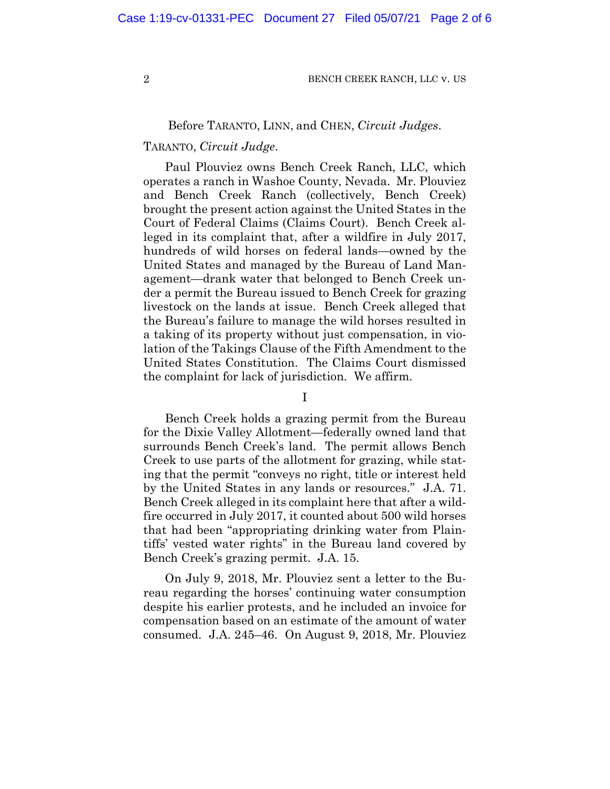## Before TARANTO, LINN, and CHEN, *Circuit Judges*.

## TARANTO, *Circuit Judge*.

Paul Plouviez owns Bench Creek Ranch, LLC, which operates a ranch in Washoe County, Nevada. Mr. Plouviez and Bench Creek Ranch (collectively, Bench Creek) brought the present action against the United States in the Court of Federal Claims (Claims Court). Bench Creek alleged in its complaint that, after a wildfire in July 2017, hundreds of wild horses on federal lands—owned by the United States and managed by the Bureau of Land Management—drank water that belonged to Bench Creek under a permit the Bureau issued to Bench Creek for grazing livestock on the lands at issue. Bench Creek alleged that the Bureau's failure to manage the wild horses resulted in a taking of its property without just compensation, in violation of the Takings Clause of the Fifth Amendment to the United States Constitution. The Claims Court dismissed the complaint for lack of jurisdiction. We affirm.

I

Bench Creek holds a grazing permit from the Bureau for the Dixie Valley Allotment—federally owned land that surrounds Bench Creek's land. The permit allows Bench Creek to use parts of the allotment for grazing, while stating that the permit "conveys no right, title or interest held by the United States in any lands or resources." J.A. 71. Bench Creek alleged in its complaint here that after a wildfire occurred in July 2017, it counted about 500 wild horses that had been "appropriating drinking water from Plaintiffs' vested water rights" in the Bureau land covered by Bench Creek's grazing permit. J.A. 15.

On July 9, 2018, Mr. Plouviez sent a letter to the Bureau regarding the horses' continuing water consumption despite his earlier protests, and he included an invoice for compensation based on an estimate of the amount of water consumed. J.A. 245–46. On August 9, 2018, Mr. Plouviez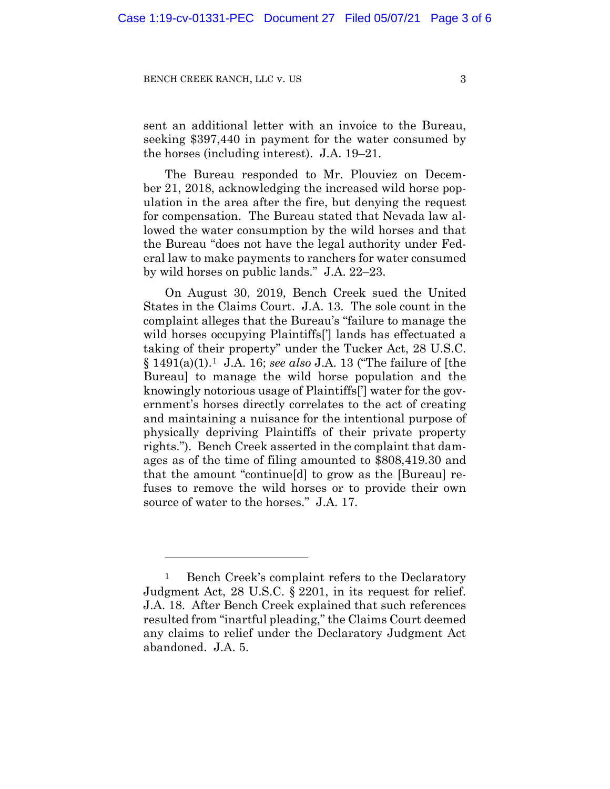sent an additional letter with an invoice to the Bureau, seeking \$397,440 in payment for the water consumed by the horses (including interest). J.A. 19–21.

The Bureau responded to Mr. Plouviez on December 21, 2018, acknowledging the increased wild horse population in the area after the fire, but denying the request for compensation. The Bureau stated that Nevada law allowed the water consumption by the wild horses and that the Bureau "does not have the legal authority under Federal law to make payments to ranchers for water consumed by wild horses on public lands." J.A. 22–23.

On August 30, 2019, Bench Creek sued the United States in the Claims Court. J.A. 13. The sole count in the complaint alleges that the Bureau's "failure to manage the wild horses occupying Plaintiffs<sup>[']</sup> lands has effectuated a taking of their property" under the Tucker Act, 28 U.S.C. § 1491(a)(1).1 J.A. 16; *see also* J.A. 13 ("The failure of [the Bureau] to manage the wild horse population and the knowingly notorious usage of Plaintiffs['] water for the government's horses directly correlates to the act of creating and maintaining a nuisance for the intentional purpose of physically depriving Plaintiffs of their private property rights."). Bench Creek asserted in the complaint that damages as of the time of filing amounted to \$808,419.30 and that the amount "continue[d] to grow as the [Bureau] refuses to remove the wild horses or to provide their own source of water to the horses." J.A. 17.

<sup>&</sup>lt;sup>1</sup> Bench Creek's complaint refers to the Declaratory Judgment Act, 28 U.S.C. § 2201, in its request for relief. J.A. 18. After Bench Creek explained that such references resulted from "inartful pleading," the Claims Court deemed any claims to relief under the Declaratory Judgment Act abandoned. J.A. 5.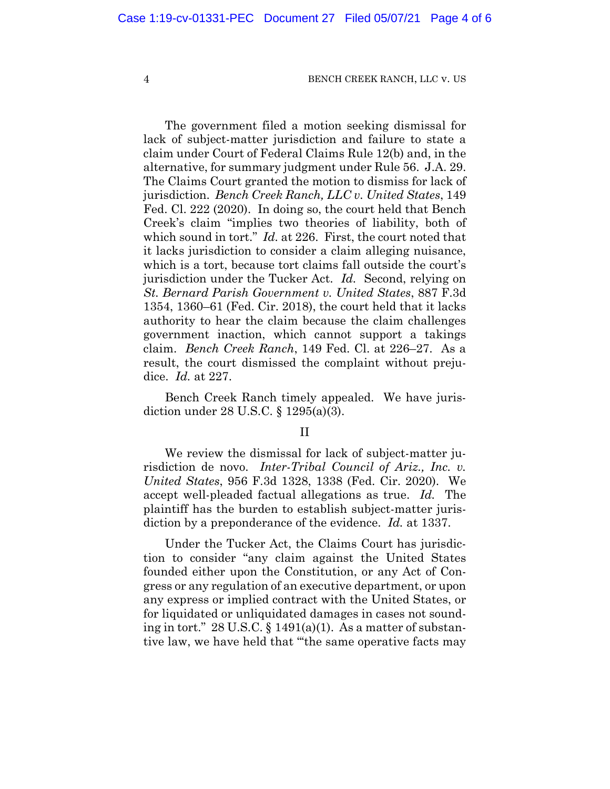The government filed a motion seeking dismissal for lack of subject-matter jurisdiction and failure to state a claim under Court of Federal Claims Rule 12(b) and, in the alternative, for summary judgment under Rule 56. J.A. 29. The Claims Court granted the motion to dismiss for lack of jurisdiction. *Bench Creek Ranch, LLC v. United States*, 149 Fed. Cl. 222 (2020). In doing so, the court held that Bench Creek's claim "implies two theories of liability, both of which sound in tort." *Id.* at 226. First, the court noted that it lacks jurisdiction to consider a claim alleging nuisance, which is a tort, because tort claims fall outside the court's jurisdiction under the Tucker Act. *Id.* Second, relying on *St. Bernard Parish Government v. United States*, 887 F.3d 1354, 1360–61 (Fed. Cir. 2018), the court held that it lacks authority to hear the claim because the claim challenges government inaction, which cannot support a takings claim. *Bench Creek Ranch*, 149 Fed. Cl. at 226–27. As a result, the court dismissed the complaint without prejudice. *Id.* at 227.

Bench Creek Ranch timely appealed. We have jurisdiction under 28 U.S.C. § 1295(a)(3).

#### II

We review the dismissal for lack of subject-matter jurisdiction de novo. *Inter-Tribal Council of Ariz., Inc. v. United States*, 956 F.3d 1328, 1338 (Fed. Cir. 2020). We accept well-pleaded factual allegations as true. *Id.* The plaintiff has the burden to establish subject-matter jurisdiction by a preponderance of the evidence. *Id.* at 1337.

Under the Tucker Act, the Claims Court has jurisdiction to consider "any claim against the United States founded either upon the Constitution, or any Act of Congress or any regulation of an executive department, or upon any express or implied contract with the United States, or for liquidated or unliquidated damages in cases not sounding in tort."  $28 \text{ U.S.C.}$  § 1491(a)(1). As a matter of substantive law, we have held that "'the same operative facts may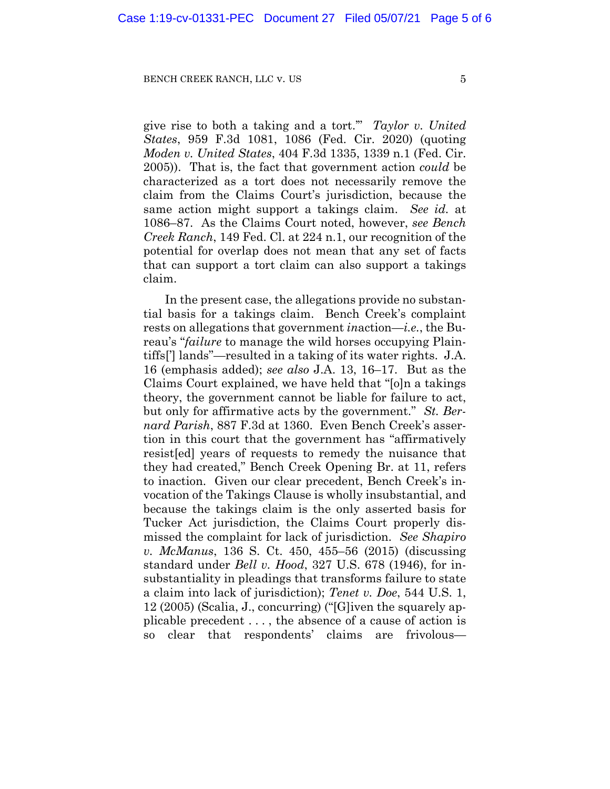give rise to both a taking and a tort.'" *Taylor v. United States*, 959 F.3d 1081, 1086 (Fed. Cir. 2020) (quoting *Moden v. United States*, 404 F.3d 1335, 1339 n.1 (Fed. Cir. 2005)). That is, the fact that government action *could* be characterized as a tort does not necessarily remove the claim from the Claims Court's jurisdiction, because the same action might support a takings claim. *See id.* at 1086–87. As the Claims Court noted, however, *see Bench Creek Ranch*, 149 Fed. Cl. at 224 n.1, our recognition of the potential for overlap does not mean that any set of facts that can support a tort claim can also support a takings claim.

In the present case, the allegations provide no substantial basis for a takings claim. Bench Creek's complaint rests on allegations that government *in*action—*i.e.*, the Bureau's "*failure* to manage the wild horses occupying Plaintiffs['] lands"—resulted in a taking of its water rights. J.A. 16 (emphasis added); *see also* J.A. 13, 16–17. But as the Claims Court explained, we have held that "[o]n a takings theory, the government cannot be liable for failure to act, but only for affirmative acts by the government." *St. Bernard Parish*, 887 F.3d at 1360. Even Bench Creek's assertion in this court that the government has "affirmatively resist[ed] years of requests to remedy the nuisance that they had created," Bench Creek Opening Br. at 11, refers to inaction. Given our clear precedent, Bench Creek's invocation of the Takings Clause is wholly insubstantial, and because the takings claim is the only asserted basis for Tucker Act jurisdiction, the Claims Court properly dismissed the complaint for lack of jurisdiction. *See Shapiro v. McManus*, 136 S. Ct. 450, 455–56 (2015) (discussing standard under *Bell v. Hood*, 327 U.S. 678 (1946), for insubstantiality in pleadings that transforms failure to state a claim into lack of jurisdiction); *Tenet v. Doe*, 544 U.S. 1, 12 (2005) (Scalia, J., concurring) ("[G]iven the squarely applicable precedent . . . , the absence of a cause of action is so clear that respondents' claims are frivolous—